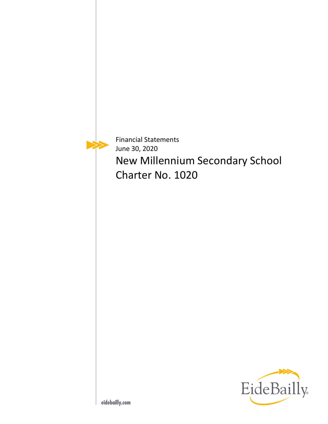Financial Statements June 30, 2020 New Millennium Secondary School Charter No. 1020

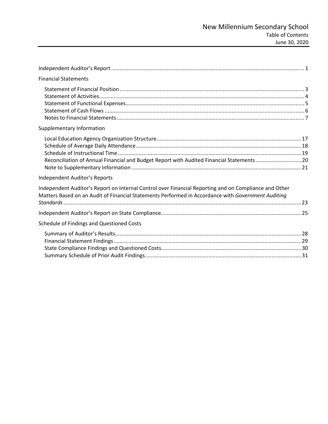| <b>Financial Statements</b>                                                                                                                                                                                 |  |
|-------------------------------------------------------------------------------------------------------------------------------------------------------------------------------------------------------------|--|
|                                                                                                                                                                                                             |  |
| Supplementary Information                                                                                                                                                                                   |  |
| Reconciliation of Annual Financial and Budget Report with Audited Financial Statements20                                                                                                                    |  |
| Independent Auditor's Reports                                                                                                                                                                               |  |
| Independent Auditor's Report on Internal Control over Financial Reporting and on Compliance and Other<br>Matters Based on an Audit of Financial Statements Performed in Accordance with Government Auditing |  |
|                                                                                                                                                                                                             |  |
| Schedule of Findings and Questioned Costs                                                                                                                                                                   |  |
|                                                                                                                                                                                                             |  |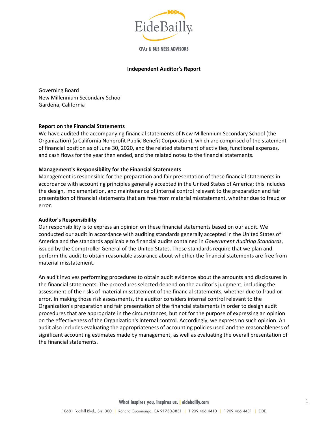

**CPAs & BUSINESS ADVISORS** 

#### **Independent Auditor's Report**

<span id="page-2-0"></span>Governing Board New Millennium Secondary School Gardena, California

#### **Report on the Financial Statements**

We have audited the accompanying financial statements of New Millennium Secondary School (the Organization) (a California Nonprofit Public Benefit Corporation), which are comprised of the statement of financial position as of June 30, 2020, and the related statement of activities, functional expenses, and cash flows for the year then ended, and the related notes to the financial statements.

### **Management's Responsibility for the Financial Statements**

Management is responsible for the preparation and fair presentation of these financial statements in accordance with accounting principles generally accepted in the United States of America; this includes the design, implementation, and maintenance of internal control relevant to the preparation and fair presentation of financial statements that are free from material misstatement, whether due to fraud or error.

#### **Auditor's Responsibility**

Our responsibility is to express an opinion on these financial statements based on our audit. We conducted our audit in accordance with auditing standards generally accepted in the United States of America and the standards applicable to financial audits contained in *Government Auditing Standards*, issued by the Comptroller General of the United States. Those standards require that we plan and perform the audit to obtain reasonable assurance about whether the financial statements are free from material misstatement.

An audit involves performing procedures to obtain audit evidence about the amounts and disclosures in the financial statements. The procedures selected depend on the auditor's judgment, including the assessment of the risks of material misstatement of the financial statements, whether due to fraud or error. In making those risk assessments, the auditor considers internal control relevant to the Organization's preparation and fair presentation of the financial statements in order to design audit procedures that are appropriate in the circumstances, but not for the purpose of expressing an opinion on the effectiveness of the Organization's internal control. Accordingly, we express no such opinion. An audit also includes evaluating the appropriateness of accounting policies used and the reasonableness of significant accounting estimates made by management, as well as evaluating the overall presentation of the financial statements.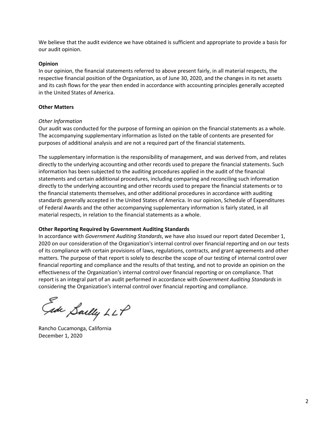We believe that the audit evidence we have obtained is sufficient and appropriate to provide a basis for our audit opinion.

#### **Opinion**

In our opinion, the financial statements referred to above present fairly, in all material respects, the respective financial position of the Organization, as of June 30, 2020, and the changes in its net assets and its cash flows for the year then ended in accordance with accounting principles generally accepted in the United States of America.

## **Other Matters**

### *Other Information*

Our audit was conducted for the purpose of forming an opinion on the financial statements as a whole. The accompanying supplementary information as listed on the table of contents are presented for purposes of additional analysis and are not a required part of the financial statements.

The supplementary information is the responsibility of management, and was derived from, and relates directly to the underlying accounting and other records used to prepare the financial statements. Such information has been subjected to the auditing procedures applied in the audit of the financial statements and certain additional procedures, including comparing and reconciling such information directly to the underlying accounting and other records used to prepare the financial statements or to the financial statements themselves, and other additional procedures in accordance with auditing standards generally accepted in the United States of America. In our opinion, Schedule of Expenditures of Federal Awards and the other accompanying supplementary information is fairly stated, in all material respects, in relation to the financial statements as a whole.

## **Other Reporting Required by Government Auditing Standards**

In accordance with *Government Auditing Standards*, we have also issued our report dated December 1, 2020 on our consideration of the Organization's internal control over financial reporting and on our tests of its compliance with certain provisions of laws, regulations, contracts, and grant agreements and other matters. The purpose of that report is solely to describe the scope of our testing of internal control over financial reporting and compliance and the results of that testing, and not to provide an opinion on the effectiveness of the Organization's internal control over financial reporting or on compliance. That report is an integral part of an audit performed in accordance with *Government Auditing Standards* in considering the Organization's internal control over financial reporting and compliance.

Fede Sailly LLP

Rancho Cucamonga, California December 1, 2020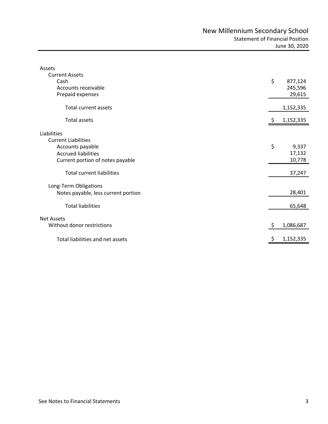<span id="page-4-1"></span><span id="page-4-0"></span>

| Assets                              |    |           |
|-------------------------------------|----|-----------|
| <b>Current Assets</b>               |    |           |
| Cash                                | \$ | 877,124   |
| Accounts receivable                 |    | 245,596   |
| Prepaid expenses                    |    | 29,615    |
| <b>Total current assets</b>         |    | 1,152,335 |
| <b>Total assets</b>                 | S  | 1,152,335 |
| Liabilities                         |    |           |
| <b>Current Liabilities</b>          |    |           |
| Accounts payable                    | \$ | 9,337     |
| <b>Accrued liabilities</b>          |    | 17,132    |
| Current portion of notes payable    |    | 10,778    |
|                                     |    |           |
| <b>Total current liabilities</b>    |    | 37,247    |
| Long-Term Obligations               |    |           |
| Notes payable, less current portion |    | 28,401    |
|                                     |    |           |
| <b>Total liabilities</b>            |    | 65,648    |
| <b>Net Assets</b>                   |    |           |
| Without donor restrictions          | \$ | 1,086,687 |
| Total liabilities and net assets    | \$ | 1,152,335 |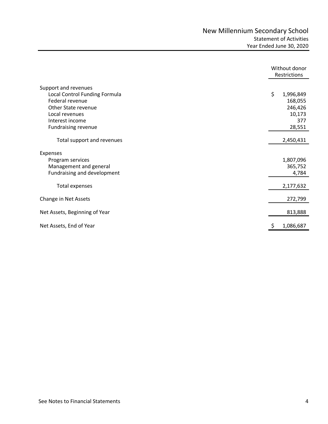<span id="page-5-0"></span>

|                                                                                                                                                                    | Without donor<br>Restrictions |                                                            |
|--------------------------------------------------------------------------------------------------------------------------------------------------------------------|-------------------------------|------------------------------------------------------------|
| Support and revenues<br>Local Control Funding Formula<br>Federal revenue<br>Other State revenue<br>Local revenues<br>Interest income<br><b>Fundraising revenue</b> | \$                            | 1,996,849<br>168,055<br>246,426<br>10,173<br>377<br>28,551 |
| Total support and revenues                                                                                                                                         |                               | 2,450,431                                                  |
| Expenses<br>Program services<br>Management and general<br>Fundraising and development                                                                              |                               | 1,807,096<br>365,752<br>4,784                              |
| <b>Total expenses</b>                                                                                                                                              |                               | 2,177,632                                                  |
| Change in Net Assets                                                                                                                                               |                               | 272,799                                                    |
| Net Assets, Beginning of Year                                                                                                                                      |                               | 813,888                                                    |
| Net Assets, End of Year                                                                                                                                            |                               | 1,086,687                                                  |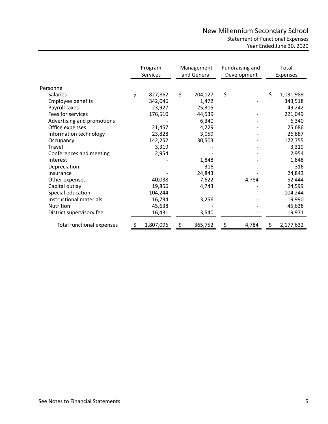<span id="page-6-0"></span>

|                                  | Program<br><b>Services</b> | Management<br>and General | Fundraising and<br>Development | Total<br>Expenses |
|----------------------------------|----------------------------|---------------------------|--------------------------------|-------------------|
| Personnel                        |                            |                           |                                |                   |
| <b>Salaries</b>                  | \$<br>827,862              | \$<br>204,127             | \$                             | \$<br>1,031,989   |
| Employee benefits                | 342,046                    | 1,472                     |                                | 343,518           |
| Payroll taxes                    | 23,927                     | 25,315                    |                                | 49,242            |
| Fees for services                | 176,510                    | 44,539                    |                                | 221,049           |
| Advertising and promotions       |                            | 6,340                     |                                | 6,340             |
| Office expenses                  | 21,457                     | 4,229                     |                                | 25,686            |
| Information technology           | 23,828                     | 3,059                     |                                | 26,887            |
| Occupancy                        | 142,252                    | 30,503                    |                                | 172,755           |
| Travel                           | 3,319                      |                           |                                | 3,319             |
| Conferences and meeting          | 2,954                      |                           |                                | 2,954             |
| Interest                         |                            | 1,848                     |                                | 1,848             |
| Depreciation                     |                            | 316                       |                                | 316               |
| Insurance                        |                            | 24,843                    |                                | 24,843            |
| Other expenses                   | 40,038                     | 7,622                     | 4,784                          | 52,444            |
| Capital outlay                   | 19,856                     | 4,743                     |                                | 24,599            |
| Special education                | 104,244                    |                           |                                | 104,244           |
| Instructional materials          | 16,734                     | 3,256                     |                                | 19,990            |
| Nutrition                        | 45,638                     |                           |                                | 45,638            |
| District supervisory fee         | 16,431                     | 3,540                     |                                | 19,971            |
|                                  |                            |                           |                                |                   |
| <b>Total functional expenses</b> | \$<br>1,807,096            | \$<br>365,752             | \$<br>4,784                    | \$<br>2,177,632   |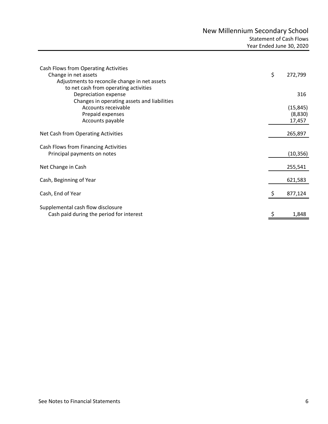<span id="page-7-0"></span>

| Cash Flows from Operating Activities<br>Change in net assets<br>Adjustments to reconcile change in net assets | \$<br>272,799                  |
|---------------------------------------------------------------------------------------------------------------|--------------------------------|
| to net cash from operating activities<br>Depreciation expense<br>Changes in operating assets and liabilities  | 316                            |
| Accounts receivable<br>Prepaid expenses<br>Accounts payable                                                   | (15, 845)<br>(8,830)<br>17,457 |
| Net Cash from Operating Activities                                                                            | 265,897                        |
| Cash Flows from Financing Activities<br>Principal payments on notes                                           | (10, 356)                      |
| Net Change in Cash                                                                                            | 255,541                        |
| Cash, Beginning of Year                                                                                       | 621,583                        |
| Cash, End of Year                                                                                             | 877,124                        |
| Supplemental cash flow disclosure<br>Cash paid during the period for interest                                 | 1,848                          |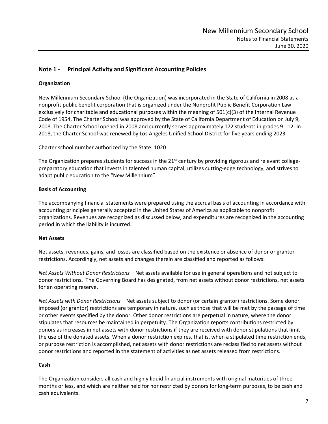# <span id="page-8-0"></span>**Note 1 - Principal Activity and Significant Accounting Policies**

# **Organization**

New Millennium Secondary School (the Organization) was incorporated in the State of California in 2008 as a nonprofit public benefit corporation that is organized under the Nonprofit Public Benefit Corporation Law exclusively for charitable and educational purposes within the meaning of  $501(c)(3)$  of the Internal Revenue Code of 1954. The Charter School was approved by the State of California Department of Education on July 9, 2008. The Charter School opened in 2008 and currently serves approximately 172 students in grades 9 - 12. In 2018, the Charter School was renewed by Los Angeles Unified School District for five years ending 2023.

Charter school number authorized by the State: 1020

The Organization prepares students for success in the  $21<sup>st</sup>$  century by providing rigorous and relevant collegepreparatory education that invests in talented human capital, utilizes cutting-edge technology, and strives to adapt public education to the "New Millennium".

## **Basis of Accounting**

The accompanying financial statements were prepared using the accrual basis of accounting in accordance with accounting principles generally accepted in the United States of America as applicable to nonprofit organizations. Revenues are recognized as discussed below, and expenditures are recognized in the accounting period in which the liability is incurred.

## **Net Assets**

Net assets, revenues, gains, and losses are classified based on the existence or absence of donor or grantor restrictions. Accordingly, net assets and changes therein are classified and reported as follows:

*Net Assets Without Donor Restrictions –* Net assets available for use in general operations and not subject to donor restrictions**.** The Governing Board has designated, from net assets without donor restrictions, net assets for an operating reserve.

*Net Assets with Donor Restrictions –* Net assets subject to donor (or certain grantor) restrictions. Some donor imposed (or grantor) restrictions are temporary in nature, such as those that will be met by the passage of time or other events specified by the donor. Other donor restrictions are perpetual in nature, where the donor stipulates that resources be maintained in perpetuity. The Organization reports contributions restricted by donors as increases in net assets with donor restrictions if they are received with donor stipulations that limit the use of the donated assets. When a donor restriction expires, that is, when a stipulated time restriction ends, or purpose restriction is accomplished, net assets with donor restrictions are reclassified to net assets without donor restrictions and reported in the statement of activities as net assets released from restrictions.

# **Cash**

The Organization considers all cash and highly liquid financial instruments with original maturities of three months or less, and which are neither held for nor restricted by donors for long-term purposes, to be cash and cash equivalents.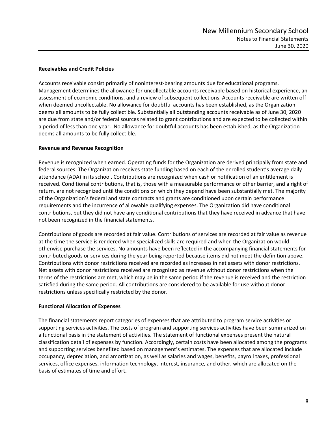# **Receivables and Credit Policies**

Accounts receivable consist primarily of noninterest-bearing amounts due for educational programs. Management determines the allowance for uncollectable accounts receivable based on historical experience, an assessment of economic conditions, and a review of subsequent collections. Accounts receivable are written off when deemed uncollectable. No allowance for doubtful accounts has been established, as the Organization deems all amounts to be fully collectible. Substantially all outstanding accounts receivable as of June 30, 2020 are due from state and/or federal sources related to grant contributions and are expected to be collected within a period of less than one year. No allowance for doubtful accounts has been established, as the Organization deems all amounts to be fully collectible.

# **Revenue and Revenue Recognition**

Revenue is recognized when earned. Operating funds for the Organization are derived principally from state and federal sources. The Organization receives state funding based on each of the enrolled student's average daily attendance (ADA) in its school. Contributions are recognized when cash or notification of an entitlement is received. Conditional contributions, that is, those with a measurable performance or other barrier, and a right of return, are not recognized until the conditions on which they depend have been substantially met. The majority of the Organization's federal and state contracts and grants are conditioned upon certain performance requirements and the incurrence of allowable qualifying expenses. The Organization did have conditional contributions, but they did not have any conditional contributions that they have received in advance that have not been recognized in the financial statements.

Contributions of goods are recorded at fair value. Contributions of services are recorded at fair value as revenue at the time the service is rendered when specialized skills are required and when the Organization would otherwise purchase the services. No amounts have been reflected in the accompanying financial statements for contributed goods or services during the year being reported because items did not meet the definition above. Contributions with donor restrictions received are recorded as increases in net assets with donor restrictions. Net assets with donor restrictions received are recognized as revenue without donor restrictions when the terms of the restrictions are met, which may be in the same period if the revenue is received and the restriction satisfied during the same period. All contributions are considered to be available for use without donor restrictions unless specifically restricted by the donor.

# **Functional Allocation of Expenses**

The financial statements report categories of expenses that are attributed to program service activities or supporting services activities. The costs of program and supporting services activities have been summarized on a functional basis in the statement of activities. The statement of functional expenses present the natural classification detail of expenses by function. Accordingly, certain costs have been allocated among the programs and supporting services benefited based on management's estimates. The expenses that are allocated include occupancy, depreciation, and amortization, as well as salaries and wages, benefits, payroll taxes, professional services, office expenses, information technology, interest, insurance, and other, which are allocated on the basis of estimates of time and effort**.**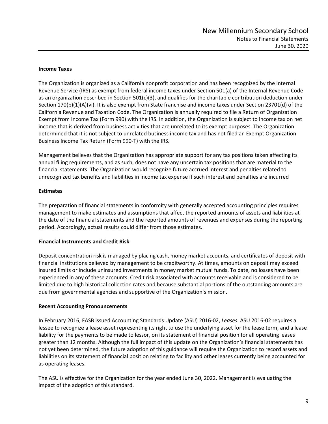## **Income Taxes**

The Organization is organized as a California nonprofit corporation and has been recognized by the Internal Revenue Service (IRS) as exempt from federal income taxes under Section 501(a) of the Internal Revenue Code as an organization described in Section 501(c)(3), and qualifies for the charitable contribution deduction under Section 170(b)(1)(A)(vi). It is also exempt from State franchise and income taxes under Section 23701(d) of the California Revenue and Taxation Code. The Organization is annually required to file a Return of Organization Exempt from Income Tax (Form 990) with the IRS. In addition, the Organization is subject to income tax on net income that is derived from business activities that are unrelated to its exempt purposes. The Organization determined that it is not subject to unrelated business income tax and has not filed an Exempt Organization Business Income Tax Return (Form 990‐T) with the IRS.

Management believes that the Organization has appropriate support for any tax positions taken affecting its annual filing requirements, and as such, does not have any uncertain tax positions that are material to the financial statements. The Organization would recognize future accrued interest and penalties related to unrecognized tax benefits and liabilities in income tax expense if such interest and penalties are incurred

## **Estimates**

The preparation of financial statements in conformity with generally accepted accounting principles requires management to make estimates and assumptions that affect the reported amounts of assets and liabilities at the date of the financial statements and the reported amounts of revenues and expenses during the reporting period. Accordingly, actual results could differ from those estimates.

## **Financial Instruments and Credit Risk**

Deposit concentration risk is managed by placing cash, money market accounts, and certificates of deposit with financial institutions believed by management to be creditworthy. At times, amounts on deposit may exceed insured limits or include uninsured investments in money market mutual funds. To date, no losses have been experienced in any of these accounts. Credit risk associated with accounts receivable and is considered to be limited due to high historical collection rates and because substantial portions of the outstanding amounts are due from governmental agencies and supportive of the Organization's mission.

## **Recent Accounting Pronouncements**

In February 2016, FASB issued Accounting Standards Update (ASU) 2016‐02, *Leases*. ASU 2016‐02 requires a lessee to recognize a lease asset representing its right to use the underlying asset for the lease term, and a lease liability for the payments to be made to lessor, on its statement of financial position for all operating leases greater than 12 months. Although the full impact of this update on the Organization's financial statements has not yet been determined, the future adoption of this guidance will require the Organization to record assets and liabilities on its statement of financial position relating to facility and other leases currently being accounted for as operating leases.

The ASU is effective for the Organization for the year ended June 30, 2022. Management is evaluating the impact of the adoption of this standard.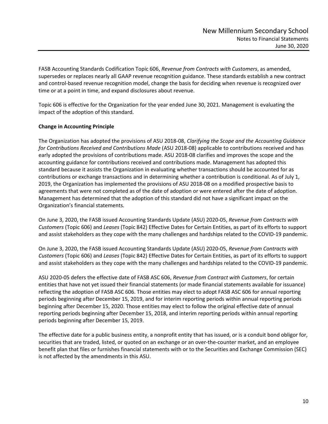FASB Accounting Standards Codification Topic 606, *Revenue from Contracts with Customers*, as amended, supersedes or replaces nearly all GAAP revenue recognition guidance. These standards establish a new contract and control-based revenue recognition model, change the basis for deciding when revenue is recognized over time or at a point in time, and expand disclosures about revenue.

Topic 606 is effective for the Organization for the year ended June 30, 2021. Management is evaluating the impact of the adoption of this standard.

# **Change in Accounting Principle**

The Organization has adopted the provisions of ASU 2018‐08, *Clarifying the Scope and the Accounting Guidance for Contributions Received and Contributions Made* (ASU 2018-08) applicable to contributions received and has early adopted the provisions of contributions made. ASU 2018-08 clarifies and improves the scope and the accounting guidance for contributions received and contributions made. Management has adopted this standard because it assists the Organization in evaluating whether transactions should be accounted for as contributions or exchange transactions and in determining whether a contribution is conditional. As of July 1, 2019, the Organization has implemented the provisions of ASU 2018‐08 on a modified prospective basis to agreements that were not completed as of the date of adoption or were entered after the date of adoption. Management has determined that the adoption of this standard did not have a significant impact on the Organization's financial statements.

On June 3, 2020, the FASB issued Accounting Standards Update (ASU) 2020-05, *Revenue from Contracts with Customers* (Topic 606) and *Leases* (Topic 842) Effective Dates for Certain Entities, as part of its efforts to support and assist stakeholders as they cope with the many challenges and hardships related to the COVID-19 pandemic.

On June 3, 2020, the FASB issued Accounting Standards Update (ASU) 2020-05, *Revenue from Contracts with Customers* (Topic 606) and *Leases* (Topic 842) Effective Dates for Certain Entities, as part of its efforts to support and assist stakeholders as they cope with the many challenges and hardships related to the COVID-19 pandemic.

ASU 2020-05 defers the effective date of FASB ASC 606, *Revenue from Contract with Customers*, for certain entities that have not yet issued their financial statements (or made financial statements available for issuance) reflecting the adoption of FASB ASC 606. Those entities may elect to adopt FASB ASC 606 for annual reporting periods beginning after December 15, 2019, and for interim reporting periods within annual reporting periods beginning after December 15, 2020. Those entities may elect to follow the original effective date of annual reporting periods beginning after December 15, 2018, and interim reporting periods within annual reporting periods beginning after December 15, 2019.

The effective date for a public business entity, a nonprofit entity that has issued, or is a conduit bond obligor for, securities that are traded, listed, or quoted on an exchange or an over-the-counter market, and an employee benefit plan that files or furnishes financial statements with or to the Securities and Exchange Commission (SEC) is not affected by the amendments in this ASU.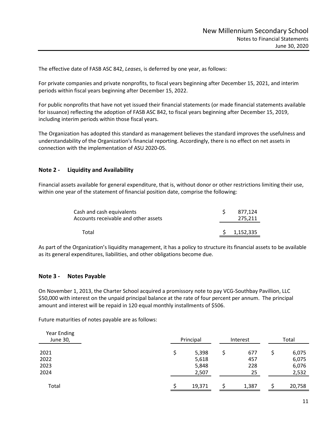The effective date of FASB ASC 842, *Leases*, is deferred by one year, as follows:

For private companies and private nonprofits, to fiscal years beginning after December 15, 2021, and interim periods within fiscal years beginning after December 15, 2022.

For public nonprofits that have not yet issued their financial statements (or made financial statements available for issuance) reflecting the adoption of FASB ASC 842, to fiscal years beginning after December 15, 2019, including interim periods within those fiscal years.

The Organization has adopted this standard as management believes the standard improves the usefulness and understandability of the Organization's financial reporting. Accordingly, there is no effect on net assets in connection with the implementation of ASU 2020-05.

# **Note 2 - Liquidity and Availability**

Financial assets available for general expenditure, that is, without donor or other restrictions limiting their use, within one year of the statement of financial position date, comprise the following:

| Cash and cash equivalents<br>Accounts receivable and other assets | 877.124<br>275.211 |
|-------------------------------------------------------------------|--------------------|
| Total                                                             | $5$ 1.152.335      |

As part of the Organization's liquidity management, it has a policy to structure its financial assets to be available as its general expenditures, liabilities, and other obligations become due.

## **Note 3 - Notes Payable**

On November 1, 2013, the Charter School acquired a promissory note to pay VCG-Southbay Pavillion, LLC \$50,000 with interest on the unpaid principal balance at the rate of four percent per annum. The principal amount and interest will be repaid in 120 equal monthly installments of \$506.

Future maturities of notes payable are as follows:

| Year Ending<br><b>June 30,</b> | Principal | Interest |   | Total  |
|--------------------------------|-----------|----------|---|--------|
| 2021                           | 5,398     | 677      | Ś | 6,075  |
| 2022                           | 5,618     | 457      |   | 6,075  |
| 2023                           | 5,848     | 228      |   | 6,076  |
| 2024                           | 2,507     | 25       |   | 2,532  |
| Total                          | 19,371    | 1,387    |   | 20,758 |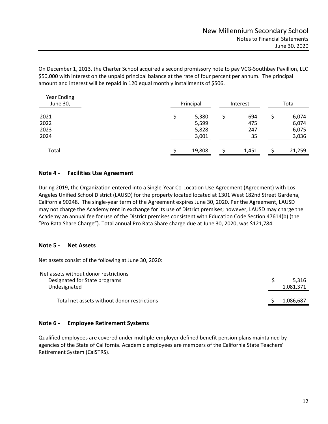On December 1, 2013, the Charter School acquired a second promissory note to pay VCG-Southbay Pavillion, LLC \$50,000 with interest on the unpaid principal balance at the rate of four percent per annum. The principal amount and interest will be repaid in 120 equal monthly installments of \$506.

| <b>Year Ending</b><br>June 30, | Principal | Interest | Total  |
|--------------------------------|-----------|----------|--------|
| 2021                           | 5,380     | 694      | 6,074  |
| 2022                           | 5,599     | 475      | 6,074  |
| 2023                           | 5,828     | 247      | 6,075  |
| 2024                           | 3,001     | 35       | 3,036  |
| Total                          | 19,808    | 1,451    | 21,259 |

# **Note 4 - Facilities Use Agreement**

During 2019, the Organization entered into a Single‐Year Co‐Location Use Agreement (Agreement) with Los Angeles Unified School District (LAUSD) for the property located located at 1301 West 182nd Street Gardena, California 90248. The single‐year term of the Agreement expires June 30, 2020. Per the Agreement, LAUSD may not charge the Academy rent in exchange for its use of District premises; however, LAUSD may charge the Academy an annual fee for use of the District premises consistent with Education Code Section 47614(b) (the "Pro Rata Share Charge"). Total annual Pro Rata Share charge due at June 30, 2020, was \$121,784.

## **Note 5 - Net Assets**

Net assets consist of the following at June 30, 2020:

| Net assets without donor restrictions<br>Designated for State programs<br>Undesignated | 5.316<br>1,081,371 |
|----------------------------------------------------------------------------------------|--------------------|
| Total net assets without donor restrictions                                            | 1,086,687          |

## **Note 6 - Employee Retirement Systems**

Qualified employees are covered under multiple-employer defined benefit pension plans maintained by agencies of the State of California. Academic employees are members of the California State Teachers' Retirement System (CalSTRS).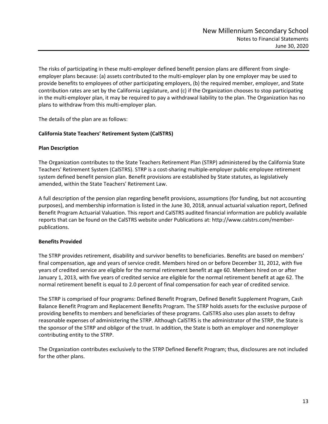The risks of participating in these multi-employer defined benefit pension plans are different from singleemployer plans because: (a) assets contributed to the multi-employer plan by one employer may be used to provide benefits to employees of other participating employers, (b) the required member, employer, and State contribution rates are set by the California Legislature, and (c) if the Organization chooses to stop participating in the multi-employer plan, it may be required to pay a withdrawal liability to the plan. The Organization has no plans to withdraw from this multi-employer plan.

The details of the plan are as follows:

# **California State Teachers' Retirement System (CalSTRS)**

## **Plan Description**

The Organization contributes to the State Teachers Retirement Plan (STRP) administered by the California State Teachers' Retirement System (CalSTRS). STRP is a cost-sharing multiple-employer public employee retirement system defined benefit pension plan. Benefit provisions are established by State statutes, as legislatively amended, within the State Teachers' Retirement Law.

A full description of the pension plan regarding benefit provisions, assumptions (for funding, but not accounting purposes), and membership information is listed in the June 30, 2018, annual actuarial valuation report, Defined Benefit Program Actuarial Valuation. This report and CalSTRS audited financial information are publicly available reports that can be found on the CalSTRS website under Publications at: http://www.calstrs.com/memberpublications.

## **Benefits Provided**

The STRP provides retirement, disability and survivor benefits to beneficiaries. Benefits are based on members' final compensation, age and years of service credit. Members hired on or before December 31, 2012, with five years of credited service are eligible for the normal retirement benefit at age 60. Members hired on or after January 1, 2013, with five years of credited service are eligible for the normal retirement benefit at age 62. The normal retirement benefit is equal to 2.0 percent of final compensation for each year of credited service.

The STRP is comprised of four programs: Defined Benefit Program, Defined Benefit Supplement Program, Cash Balance Benefit Program and Replacement Benefits Program. The STRP holds assets for the exclusive purpose of providing benefits to members and beneficiaries of these programs. CalSTRS also uses plan assets to defray reasonable expenses of administering the STRP. Although CalSTRS is the administrator of the STRP, the State is the sponsor of the STRP and obligor of the trust. In addition, the State is both an employer and nonemployer contributing entity to the STRP.

The Organization contributes exclusively to the STRP Defined Benefit Program; thus, disclosures are not included for the other plans.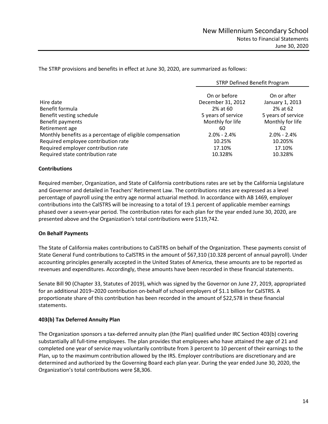The STRP provisions and benefits in effect at June 30, 2020, are summarized as follows:

|                                                           | <b>STRP Defined Benefit Program</b> |                    |  |
|-----------------------------------------------------------|-------------------------------------|--------------------|--|
|                                                           | On or before                        | On or after        |  |
| Hire date                                                 | December 31, 2012                   | January 1, 2013    |  |
| Benefit formula                                           | 2% at 60                            | 2% at 62           |  |
| Benefit vesting schedule                                  | 5 years of service                  | 5 years of service |  |
| Benefit payments                                          | Monthly for life                    | Monthly for life   |  |
| Retirement age                                            | 60                                  | 62                 |  |
| Monthly benefits as a percentage of eligible compensation | $2.0\% - 2.4\%$                     | $2.0\% - 2.4\%$    |  |
| Required employee contribution rate                       | 10.25%                              | 10.205%            |  |
| Required employer contribution rate                       | 17.10%                              | 17.10%             |  |
| Required state contribution rate                          | 10.328%                             | 10.328%            |  |

### **Contributions**

Required member, Organization, and State of California contributions rates are set by the California Legislature and Governor and detailed in Teachers' Retirement Law. The contributions rates are expressed as a level percentage of payroll using the entry age normal actuarial method. In accordance with AB 1469, employer contributions into the CalSTRS will be increasing to a total of 19.1 percent of applicable member earnings phased over a seven-year period. The contribution rates for each plan for the year ended June 30, 2020, are presented above and the Organization's total contributions were \$119,742.

## **On Behalf Payments**

The State of California makes contributions to CalSTRS on behalf of the Organization. These payments consist of State General Fund contributions to CalSTRS in the amount of \$67,310 (10.328 percent of annual payroll). Under accounting principles generally accepted in the United States of America, these amounts are to be reported as revenues and expenditures. Accordingly, these amounts have been recorded in these financial statements.

Senate Bill 90 (Chapter 33, Statutes of 2019), which was signed by the Governor on June 27, 2019, appropriated for an additional 2019–2020 contribution on-behalf of school employers of \$1.1 billion for CalSTRS. A proportionate share of this contribution has been recorded in the amount of \$22,578 in these financial statements.

## **403(b) Tax Deferred Annuity Plan**

The Organization sponsors a tax-deferred annuity plan (the Plan) qualified under IRC Section 403(b) covering substantially all full‐time employees. The plan provides that employees who have attained the age of 21 and completed one year of service may voluntarily contribute from 3 percent to 10 percent of their earnings to the Plan, up to the maximum contribution allowed by the IRS. Employer contributions are discretionary and are determined and authorized by the Governing Board each plan year. During the year ended June 30, 2020, the Organization's total contributions were \$8,306.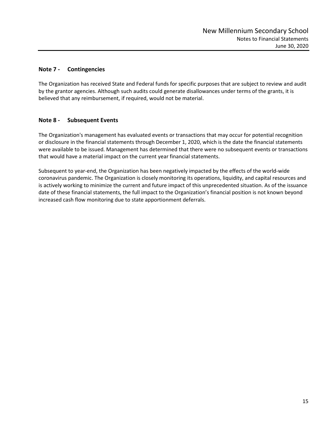# **Note 7 - Contingencies**

The Organization has received State and Federal funds for specific purposes that are subject to review and audit by the grantor agencies. Although such audits could generate disallowances under terms of the grants, it is believed that any reimbursement, if required, would not be material.

# **Note 8 - Subsequent Events**

The Organization's management has evaluated events or transactions that may occur for potential recognition or disclosure in the financial statements through December 1, 2020, which is the date the financial statements were available to be issued. Management has determined that there were no subsequent events or transactions that would have a material impact on the current year financial statements.

Subsequent to year-end, the Organization has been negatively impacted by the effects of the world-wide coronavirus pandemic. The Organization is closely monitoring its operations, liquidity, and capital resources and is actively working to minimize the current and future impact of this unprecedented situation. As of the issuance date of these financial statements, the full impact to the Organization's financial position is not known beyond increased cash flow monitoring due to state apportionment deferrals.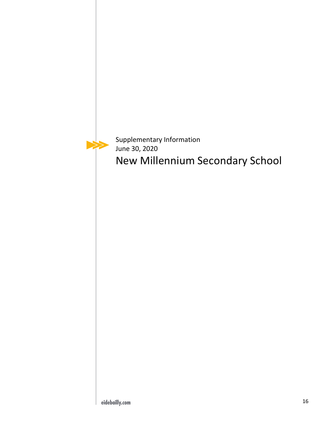⋗

Supplementary Information June 30, 2020 New Millennium Secondary School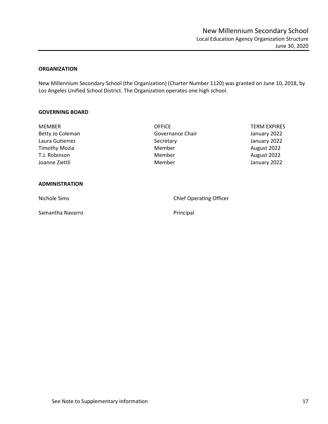# <span id="page-18-1"></span><span id="page-18-0"></span>**ORGANIZATION**

New Millennium Secondary School (the Organization) (Charter Number 1120) was granted on June 10, 2018, by Los Angeles Unified School District. The Organization operates one high school.

#### **GOVERNING BOARD**

| <b>MEMBER</b>        | <b>OFFICE</b>    | <b>TERM EXPIRES</b> |
|----------------------|------------------|---------------------|
| Betty Jo Coleman     | Governance Chair | January 2022        |
| Laura Gutierrez      | Secretary        | January 2022        |
| <b>Timothy Mozia</b> | Member           | August 2022         |
| T.J. Robinson        | Member           | August 2022         |
| Joanne Ziettli       | Member           | January 2022        |
|                      |                  |                     |
|                      |                  |                     |

## **ADMINISTRATION**

Samantha Navarro **Principal** 

Nichole Sims **Chief Operating Officer** Chief Operating Officer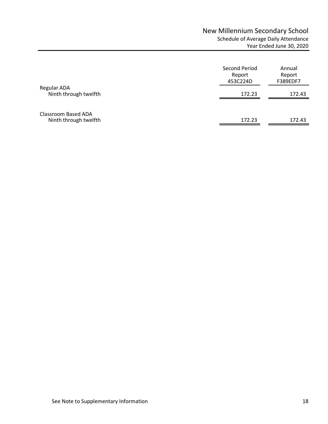<span id="page-19-0"></span>

|                                              | Second Period<br>Report<br>453C224D | Annual<br>Report<br>F389EDF7 |
|----------------------------------------------|-------------------------------------|------------------------------|
| Regular ADA<br>Ninth through twelfth         | 172.23                              | 172.43                       |
| Classroom Based ADA<br>Ninth through twelfth | 172.23                              | 172.43                       |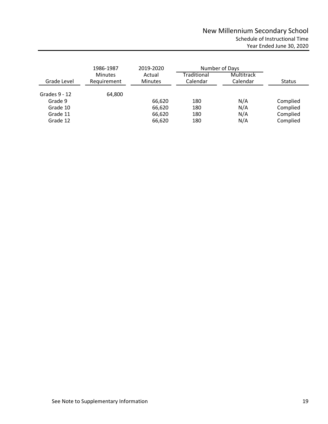<span id="page-20-0"></span>

|               | 1986-1987                     | 2019-2020                | Number of Days          |                        |               |
|---------------|-------------------------------|--------------------------|-------------------------|------------------------|---------------|
| Grade Level   | <b>Minutes</b><br>Requirement | Actual<br><b>Minutes</b> | Traditional<br>Calendar | Multitrack<br>Calendar | <b>Status</b> |
| Grades 9 - 12 | 64,800                        |                          |                         |                        |               |
| Grade 9       |                               | 66,620                   | 180                     | N/A                    | Complied      |
| Grade 10      |                               | 66,620                   | 180                     | N/A                    | Complied      |
| Grade 11      |                               | 66,620                   | 180                     | N/A                    | Complied      |
| Grade 12      |                               | 66,620                   | 180                     | N/A                    | Complied      |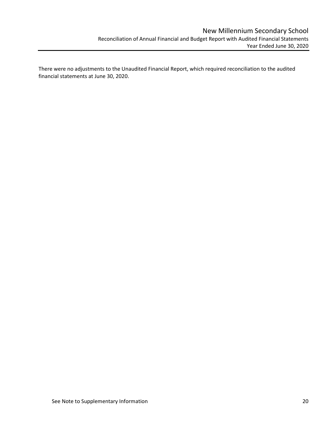<span id="page-21-0"></span>There were no adjustments to the Unaudited Financial Report, which required reconciliation to the audited financial statements at June 30, 2020.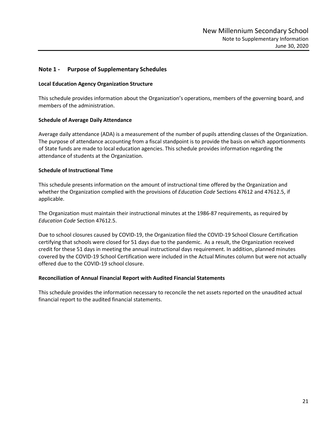# <span id="page-22-0"></span>**Note 1 - Purpose of Supplementary Schedules**

### **Local Education Agency Organization Structure**

This schedule provides information about the Organization's operations, members of the governing board, and members of the administration.

### **Schedule of Average Daily Attendance**

Average daily attendance (ADA) is a measurement of the number of pupils attending classes of the Organization. The purpose of attendance accounting from a fiscal standpoint is to provide the basis on which apportionments of State funds are made to local education agencies. This schedule provides information regarding the attendance of students at the Organization.

### **Schedule of Instructional Time**

This schedule presents information on the amount of instructional time offered by the Organization and whether the Organization complied with the provisions of *Education Code* Sections 47612 and 47612.5, if applicable.

The Organization must maintain their instructional minutes at the 1986-87 requirements, as required by *Education Code* Section 47612.5.

Due to school closures caused by COVID-19, the Organization filed the COVID-19 School Closure Certification certifying that schools were closed for 51 days due to the pandemic. As a result, the Organization received credit for these 51 days in meeting the annual instructional days requirement. In addition, planned minutes covered by the COVID-19 School Certification were included in the Actual Minutes column but were not actually offered due to the COVID-19 school closure.

#### **Reconciliation of Annual Financial Report with Audited Financial Statements**

This schedule provides the information necessary to reconcile the net assets reported on the unaudited actual financial report to the audited financial statements.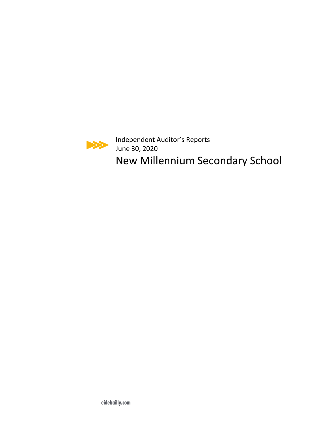

Independent Auditor's Reports June 30, 2020 New Millennium Secondary School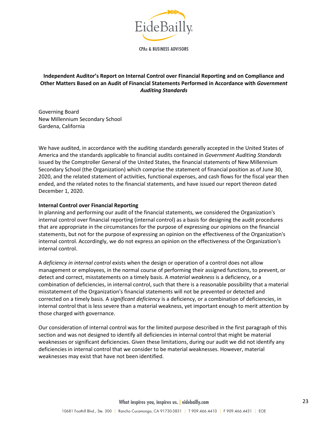

**CPAs & BUSINESS ADVISORS** 

# <span id="page-24-1"></span><span id="page-24-0"></span>**Independent Auditor's Report on Internal Control over Financial Reporting and on Compliance and Other Matters Based on an Audit of Financial Statements Performed in Accordance with** *Government Auditing Standards*

Governing Board New Millennium Secondary School Gardena, California

We have audited, in accordance with the auditing standards generally accepted in the United States of America and the standards applicable to financial audits contained in *Government Auditing Standards* issued by the Comptroller General of the United States, the financial statements of New Millennium Secondary School (the Organization) which comprise the statement of financial position as of June 30, 2020, and the related statement of activities, functional expenses, and cash flows for the fiscal year then ended, and the related notes to the financial statements, and have issued our report thereon dated December 1, 2020.

### **Internal Control over Financial Reporting**

In planning and performing our audit of the financial statements, we considered the Organization's internal control over financial reporting (internal control) as a basis for designing the audit procedures that are appropriate in the circumstances for the purpose of expressing our opinions on the financial statements, but not for the purpose of expressing an opinion on the effectiveness of the Organization's internal control. Accordingly, we do not express an opinion on the effectiveness of the Organization's internal control.

A *deficiency in internal control* exists when the design or operation of a control does not allow management or employees, in the normal course of performing their assigned functions, to prevent, or detect and correct, misstatements on a timely basis. A *material weakness* is a deficiency, or a combination of deficiencies, in internal control, such that there is a reasonable possibility that a material misstatement of the Organization's financial statements will not be prevented or detected and corrected on a timely basis. A *significant deficiency* is a deficiency, or a combination of deficiencies, in internal control that is less severe than a material weakness, yet important enough to merit attention by those charged with governance.

Our consideration of internal control was for the limited purpose described in the first paragraph of this section and was not designed to identify all deficiencies in internal control that might be material weaknesses or significant deficiencies. Given these limitations, during our audit we did not identify any deficiencies in internal control that we consider to be material weaknesses. However, material weaknesses may exist that have not been identified.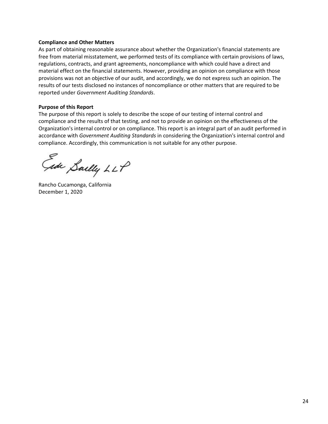### **Compliance and Other Matters**

As part of obtaining reasonable assurance about whether the Organization's financial statements are free from material misstatement, we performed tests of its compliance with certain provisions of laws, regulations, contracts, and grant agreements, noncompliance with which could have a direct and material effect on the financial statements. However, providing an opinion on compliance with those provisions was not an objective of our audit, and accordingly, we do not express such an opinion. The results of our tests disclosed no instances of noncompliance or other matters that are required to be reported under *Government Auditing Standards*.

### **Purpose of this Report**

The purpose of this report is solely to describe the scope of our testing of internal control and compliance and the results of that testing, and not to provide an opinion on the effectiveness of the Organization's internal control or on compliance. This report is an integral part of an audit performed in accordance with *Government Auditing Standards* in considering the Organization's internal control and compliance. Accordingly, this communication is not suitable for any other purpose.

Gide Sailly LLP

Rancho Cucamonga, California December 1, 2020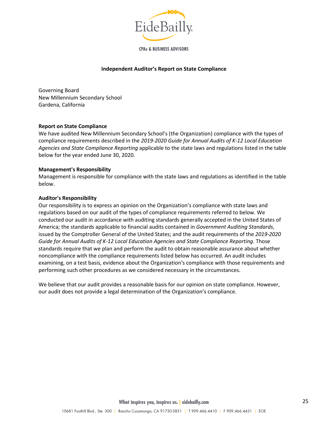

**CPAs & BUSINESS ADVISORS** 

### **Independent Auditor's Report on State Compliance**

<span id="page-26-0"></span>Governing Board New Millennium Secondary School Gardena, California

#### **Report on State Compliance**

We have audited New Millennium Secondary School's (the Organization) compliance with the types of compliance requirements described in the *2019-2020 Guide for Annual Audits of K-12 Local Education Agencies and State Compliance Reporting* applicable to the state laws and regulations listed in the table below for the year ended June 30, 2020.

### **Management's Responsibility**

Management is responsible for compliance with the state laws and regulations as identified in the table below.

### **Auditor's Responsibility**

Our responsibility is to express an opinion on the Organization's compliance with state laws and regulations based on our audit of the types of compliance requirements referred to below. We conducted our audit in accordance with auditing standards generally accepted in the United States of America; the standards applicable to financial audits contained in *Government Auditing Standards*, issued by the Comptroller General of the United States; and the audit requirements of the *2019-2020 Guide for Annual Audits of K-12 Local Education Agencies and State Compliance Reporting*. Those standards require that we plan and perform the audit to obtain reasonable assurance about whether noncompliance with the compliance requirements listed below has occurred. An audit includes examining, on a test basis, evidence about the Organization's compliance with those requirements and performing such other procedures as we considered necessary in the circumstances.

We believe that our audit provides a reasonable basis for our opinion on state compliance. However, our audit does not provide a legal determination of the Organization's compliance.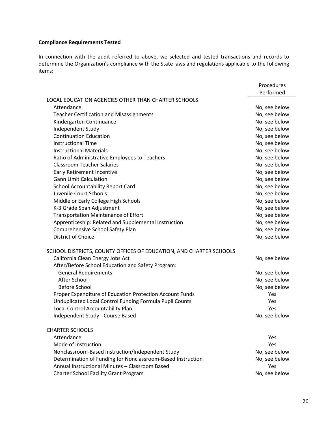### **Compliance Requirements Tested**

In connection with the audit referred to above, we selected and tested transactions and records to determine the Organization's compliance with the State laws and regulations applicable to the following items:

|                                                                    | Procedures    |
|--------------------------------------------------------------------|---------------|
|                                                                    | Performed     |
| LOCAL EDUCATION AGENCIES OTHER THAN CHARTER SCHOOLS                |               |
| Attendance                                                         | No, see below |
| <b>Teacher Certification and Misassignments</b>                    | No, see below |
| Kindergarten Continuance                                           | No, see below |
| Independent Study                                                  | No, see below |
| <b>Continuation Education</b>                                      | No, see below |
| <b>Instructional Time</b>                                          | No, see below |
| <b>Instructional Materials</b>                                     | No, see below |
| Ratio of Administrative Employees to Teachers                      | No, see below |
| <b>Classroom Teacher Salaries</b>                                  | No, see below |
| Early Retirement Incentive                                         | No, see below |
| <b>Gann Limit Calculation</b>                                      | No, see below |
| <b>School Accountability Report Card</b>                           | No, see below |
| Juvenile Court Schools                                             | No, see below |
| Middle or Early College High Schools                               | No, see below |
| K-3 Grade Span Adjustment                                          | No, see below |
| <b>Transportation Maintenance of Effort</b>                        | No, see below |
| Apprenticeship: Related and Supplemental Instruction               | No, see below |
| Comprehensive School Safety Plan                                   | No, see below |
| <b>District of Choice</b>                                          | No, see below |
| SCHOOL DISTRICTS, COUNTY OFFICES OF EDUCATION, AND CHARTER SCHOOLS |               |
| California Clean Energy Jobs Act                                   | No, see below |
| After/Before School Education and Safety Program:                  |               |
| <b>General Requirements</b>                                        | No, see below |
| After School                                                       | No, see below |
| <b>Before School</b>                                               | No, see below |
| Proper Expenditure of Education Protection Account Funds           | Yes           |
| Unduplicated Local Control Funding Formula Pupil Counts            | Yes           |
| Local Control Accountability Plan                                  | Yes           |
| Independent Study - Course Based                                   | No, see below |
| <b>CHARTER SCHOOLS</b>                                             |               |
| Attendance                                                         | Yes           |
| Mode of Instruction                                                | Yes           |
| Nonclassroom-Based Instruction/Independent Study                   | No, see below |
| Determination of Funding for Nonclassroom-Based Instruction        | No, see below |
| Annual Instructional Minutes - Classroom Based                     | Yes           |
| <b>Charter School Facility Grant Program</b>                       | No, see below |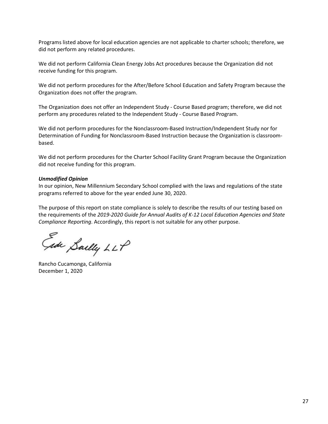Programs listed above for local education agencies are not applicable to charter schools; therefore, we did not perform any related procedures.

We did not perform California Clean Energy Jobs Act procedures because the Organization did not receive funding for this program.

We did not perform procedures for the After/Before School Education and Safety Program because the Organization does not offer the program.

The Organization does not offer an Independent Study - Course Based program; therefore, we did not perform any procedures related to the Independent Study - Course Based Program.

We did not perform procedures for the Nonclassroom-Based Instruction/Independent Study nor for Determination of Funding for Nonclassroom-Based Instruction because the Organization is classroombased.

We did not perform procedures for the Charter School Facility Grant Program because the Organization did not receive funding for this program.

### *Unmodified Opinion*

In our opinion, New Millennium Secondary School complied with the laws and regulations of the state programs referred to above for the year ended June 30, 2020.

The purpose of this report on state compliance is solely to describe the results of our testing based on the requirements of the *2019-2020 Guide for Annual Audits of K-12 Local Education Agencies and State Compliance Reporting*. Accordingly, this report is not suitable for any other purpose.

Fede Sailly LLP

Rancho Cucamonga, California December 1, 2020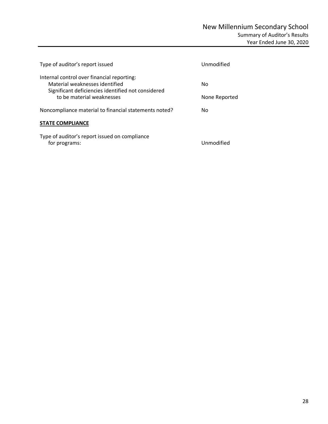<span id="page-29-1"></span><span id="page-29-0"></span>

| Type of auditor's report issued                                                                                                    | Unmodified    |  |
|------------------------------------------------------------------------------------------------------------------------------------|---------------|--|
| Internal control over financial reporting:<br>Material weaknesses identified<br>Significant deficiencies identified not considered | No            |  |
| to be material weaknesses                                                                                                          | None Reported |  |
| Noncompliance material to financial statements noted?                                                                              | No            |  |
| <b>STATE COMPLIANCE</b>                                                                                                            |               |  |
| Type of auditor's report issued on compliance<br>for programs:                                                                     | Unmodified    |  |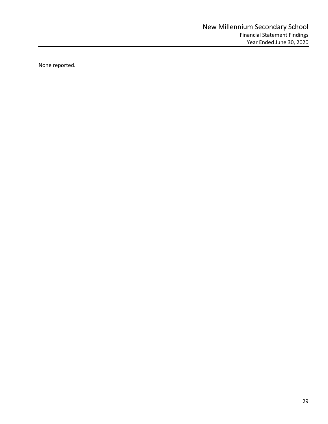<span id="page-30-0"></span>None reported.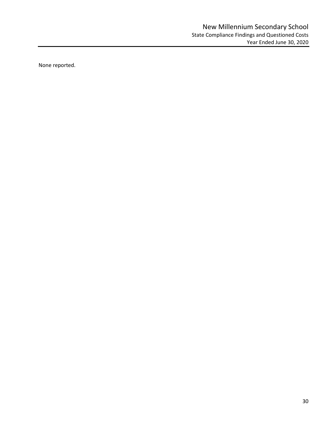<span id="page-31-0"></span>None reported.